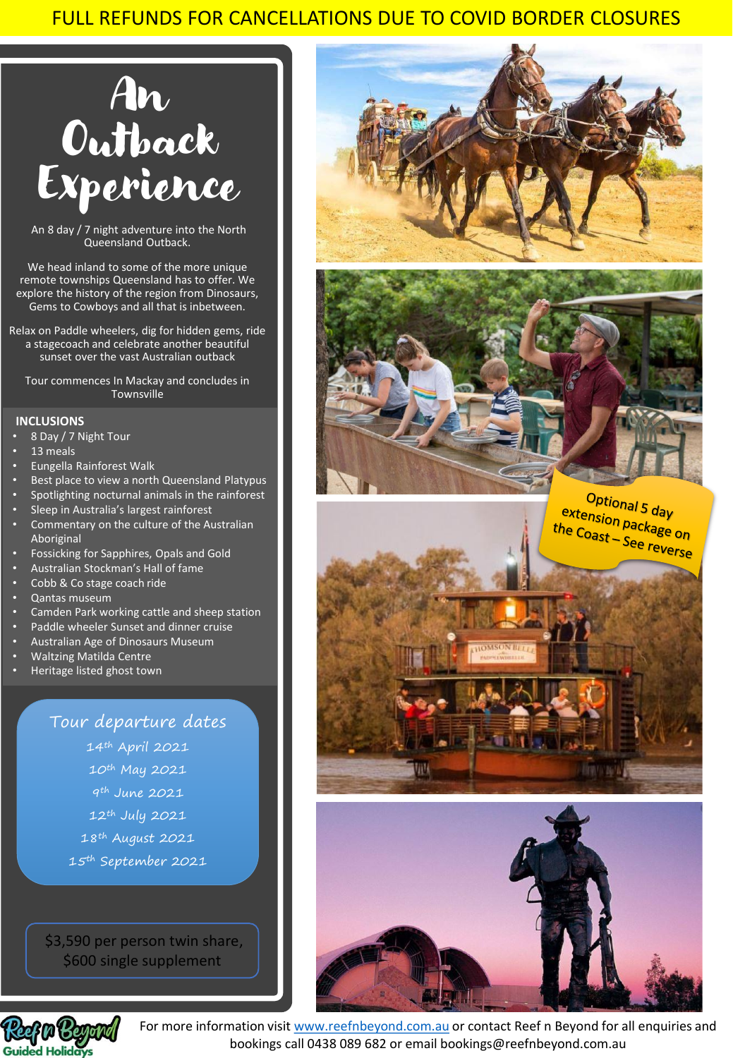### FULL REFUNDS FOR CANCELLATIONS DUE TO COVID BORDER CLOSURES



An 8 day / 7 night adventure into the North Queensland Outback.

We head inland to some of the more unique remote townships Queensland has to offer. We explore the history of the region from Dinosaurs, Gems to Cowboys and all that is inbetween.

Relax on Paddle wheelers, dig for hidden gems, ride a stagecoach and celebrate another beautiful sunset over the vast Australian outback

Tour commences In Mackay and concludes in **Townsville** 

#### **INCLUSIONS**

- 8 Day / 7 Night Tour
- 13 meals
- Eungella Rainforest Walk
- Best place to view a north Queensland Platypus
- Spotlighting nocturnal animals in the rainforest
- Sleep in Australia's largest rainforest Commentary on the culture of the Australian Aboriginal
- Fossicking for Sapphires, Opals and Gold
- Australian Stockman's Hall of fame
- Cobb & Co stage coach ride
- Qantas museum
- Camden Park working cattle and sheep station
- Paddle wheeler Sunset and dinner cruise
- Australian Age of Dinosaurs Museum
- Waltzing Matilda Centre
- Heritage listed ghost town

Tour departure dates th April 2021 th May 2021 th June 2021 th July 2021 th August 2021 th September 2021

\$3,590 per person twin share, \$600 single supplement









For more information visit [www.reefnbeyond.com.au](http://www.reefnbeyond.com.au/) or contact Reef n Beyond for all enquiries and bookings call 0438 089 682 or email bookings@reefnbeyond.com.au